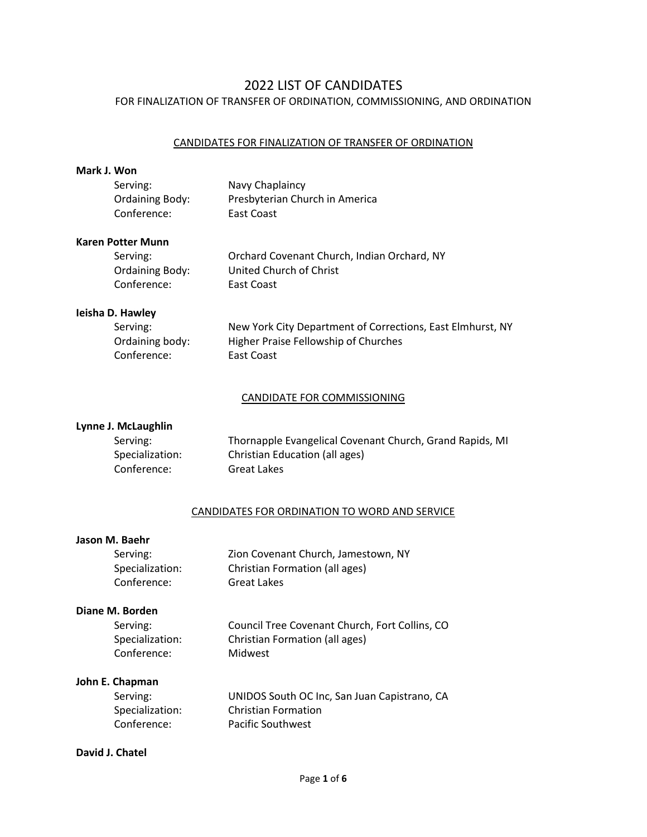# 2022 LIST OF CANDIDATES FOR FINALIZATION OF TRANSFER OF ORDINATION, COMMISSIONING, AND ORDINATION

## CANDIDATES FOR FINALIZATION OF TRANSFER OF ORDINATION

#### **Mark J. Won**

| Serving:               | Navy Chaplaincy                |
|------------------------|--------------------------------|
| <b>Ordaining Body:</b> | Presbyterian Church in America |
| Conference:            | East Coast                     |

#### **Karen Potter Munn**

| Serving:               | Orchard Covenant Church, Indian Orchard, NY |
|------------------------|---------------------------------------------|
| <b>Ordaining Body:</b> | United Church of Christ                     |
| Conference:            | East Coast                                  |

# **Ieisha D. Hawley**

| New York City Department of Corrections, East Elmhurst, NY |
|------------------------------------------------------------|
| Higher Praise Fellowship of Churches                       |
| East Coast                                                 |
|                                                            |

# CANDIDATE FOR COMMISSIONING

# **Lynne J. McLaughlin**

| Serving:        | Thornapple Evangelical Covenant Church, Grand Rapids, MI |
|-----------------|----------------------------------------------------------|
| Specialization: | Christian Education (all ages)                           |
| Conference:     | Great Lakes                                              |

## CANDIDATES FOR ORDINATION TO WORD AND SERVICE

#### **Jason M. Baehr**

| Serving:        | Zion Covenant Church, Jamestown, NY |
|-----------------|-------------------------------------|
| Specialization: | Christian Formation (all ages)      |
| Conference:     | <b>Great Lakes</b>                  |

# **Diane M. Borden**

| Serving:        | Council Tree Covenant Church, Fort Collins, CO |
|-----------------|------------------------------------------------|
| Specialization: | Christian Formation (all ages)                 |
| Conference:     | Midwest                                        |

# **John E. Chapman**

| Serving:        | UNIDOS South OC Inc, San Juan Capistrano, CA |
|-----------------|----------------------------------------------|
| Specialization: | <b>Christian Formation</b>                   |
| Conference:     | Pacific Southwest                            |

# **David J. Chatel**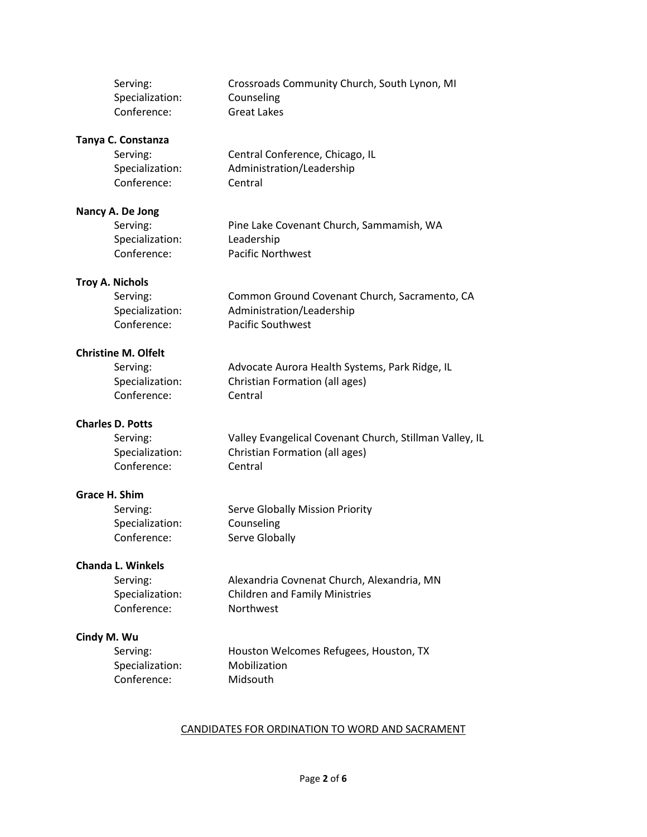| Serving:                   | Crossroads Community Church, South Lynon, MI            |
|----------------------------|---------------------------------------------------------|
| Specialization:            | Counseling                                              |
| Conference:                | <b>Great Lakes</b>                                      |
| Tanya C. Constanza         |                                                         |
| Serving:                   | Central Conference, Chicago, IL                         |
| Specialization:            | Administration/Leadership                               |
| Conference:                | Central                                                 |
|                            |                                                         |
| Nancy A. De Jong           |                                                         |
| Serving:                   | Pine Lake Covenant Church, Sammamish, WA                |
| Specialization:            | Leadership                                              |
| Conference:                | <b>Pacific Northwest</b>                                |
| <b>Troy A. Nichols</b>     |                                                         |
| Serving:                   | Common Ground Covenant Church, Sacramento, CA           |
| Specialization:            | Administration/Leadership                               |
| Conference:                | <b>Pacific Southwest</b>                                |
|                            |                                                         |
| <b>Christine M. Olfelt</b> |                                                         |
| Serving:                   | Advocate Aurora Health Systems, Park Ridge, IL          |
| Specialization:            | Christian Formation (all ages)                          |
| Conference:                | Central                                                 |
| <b>Charles D. Potts</b>    |                                                         |
| Serving:                   | Valley Evangelical Covenant Church, Stillman Valley, IL |
| Specialization:            | Christian Formation (all ages)                          |
| Conference:                | Central                                                 |
|                            |                                                         |
| Grace H. Shim              |                                                         |
| Serving:                   | Serve Globally Mission Priority                         |
| Specialization:            | Counseling                                              |
| Conference:                | Serve Globally                                          |
| <b>Chanda L. Winkels</b>   |                                                         |
| Serving:                   | Alexandria Covnenat Church, Alexandria, MN              |
| Specialization:            | <b>Children and Family Ministries</b>                   |
| Conference:                | Northwest                                               |
|                            |                                                         |
| Cindy M. Wu                |                                                         |
| Serving:                   | Houston Welcomes Refugees, Houston, TX                  |
| Specialization:            | Mobilization                                            |
| Conference:                | Midsouth                                                |
|                            |                                                         |
|                            |                                                         |

# CANDIDATES FOR ORDINATION TO WORD AND SACRAMENT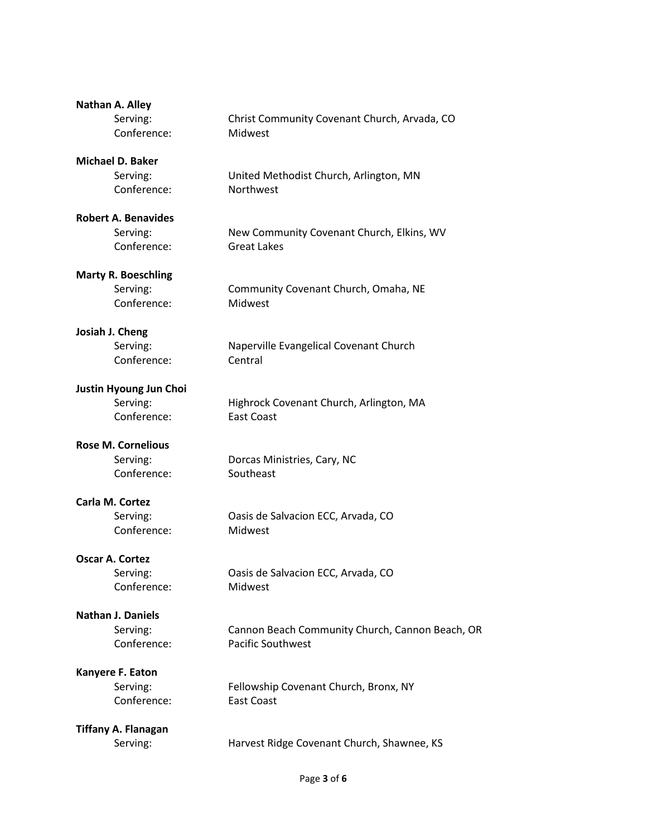| Nathan A. Alley            |                                                 |
|----------------------------|-------------------------------------------------|
| Serving:                   | Christ Community Covenant Church, Arvada, CO    |
| Conference:                | Midwest                                         |
| <b>Michael D. Baker</b>    |                                                 |
| Serving:                   | United Methodist Church, Arlington, MN          |
| Conference:                | Northwest                                       |
| <b>Robert A. Benavides</b> |                                                 |
| Serving:                   | New Community Covenant Church, Elkins, WV       |
| Conference:                | <b>Great Lakes</b>                              |
| <b>Marty R. Boeschling</b> |                                                 |
| Serving:                   | Community Covenant Church, Omaha, NE            |
| Conference:                | Midwest                                         |
| Josiah J. Cheng            |                                                 |
| Serving:                   | Naperville Evangelical Covenant Church          |
| Conference:                | Central                                         |
| Justin Hyoung Jun Choi     |                                                 |
| Serving:                   | Highrock Covenant Church, Arlington, MA         |
| Conference:                | <b>East Coast</b>                               |
| <b>Rose M. Cornelious</b>  |                                                 |
| Serving:                   | Dorcas Ministries, Cary, NC                     |
| Conference:                | Southeast                                       |
| Carla M. Cortez            |                                                 |
| Serving:                   | Oasis de Salvacion ECC, Arvada, CO              |
| Conference:                | Midwest                                         |
| <b>Oscar A. Cortez</b>     |                                                 |
| Serving:                   | Oasis de Salvacion ECC, Arvada, CO              |
| Conference:                | Midwest                                         |
| <b>Nathan J. Daniels</b>   |                                                 |
| Serving:                   | Cannon Beach Community Church, Cannon Beach, OR |
| Conference:                | <b>Pacific Southwest</b>                        |
| Kanyere F. Eaton           |                                                 |
| Serving:                   | Fellowship Covenant Church, Bronx, NY           |
| Conference:                | <b>East Coast</b>                               |
| <b>Tiffany A. Flanagan</b> |                                                 |
| Serving:                   | Harvest Ridge Covenant Church, Shawnee, KS      |
|                            |                                                 |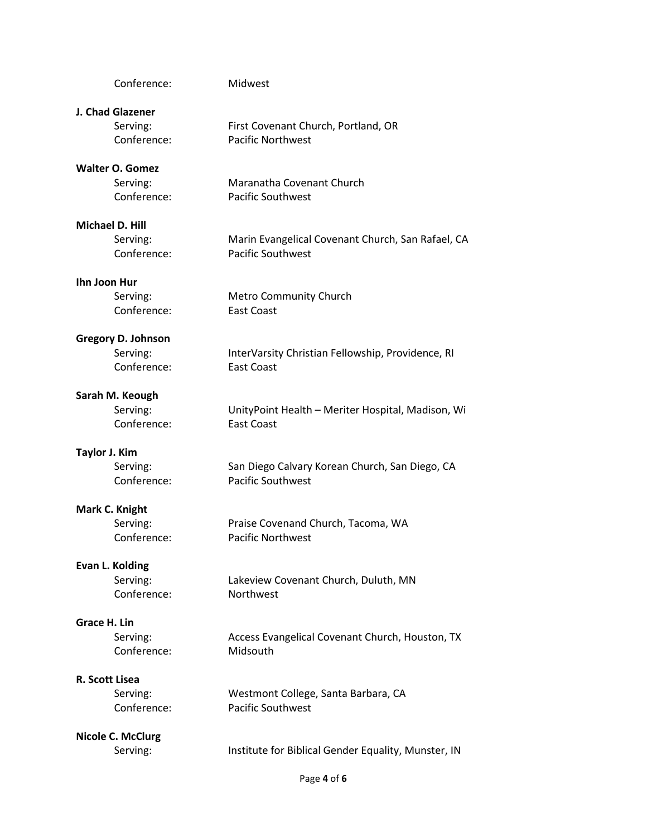| Conference:               | Midwest                                             |
|---------------------------|-----------------------------------------------------|
| J. Chad Glazener          |                                                     |
| Serving:                  | First Covenant Church, Portland, OR                 |
| Conference:               | <b>Pacific Northwest</b>                            |
| <b>Walter O. Gomez</b>    |                                                     |
| Serving:                  | Maranatha Covenant Church                           |
| Conference:               | <b>Pacific Southwest</b>                            |
| Michael D. Hill           |                                                     |
| Serving:                  | Marin Evangelical Covenant Church, San Rafael, CA   |
| Conference:               | <b>Pacific Southwest</b>                            |
| Ihn Joon Hur              |                                                     |
| Serving:                  | <b>Metro Community Church</b>                       |
| Conference:               | <b>East Coast</b>                                   |
| <b>Gregory D. Johnson</b> |                                                     |
| Serving:                  | InterVarsity Christian Fellowship, Providence, RI   |
| Conference:               | <b>East Coast</b>                                   |
| Sarah M. Keough           |                                                     |
| Serving:                  | UnityPoint Health - Meriter Hospital, Madison, Wi   |
| Conference:               | <b>East Coast</b>                                   |
| <b>Taylor J. Kim</b>      |                                                     |
| Serving:                  | San Diego Calvary Korean Church, San Diego, CA      |
| Conference:               | <b>Pacific Southwest</b>                            |
| Mark C. Knight            |                                                     |
| Serving:                  | Praise Covenand Church, Tacoma, WA                  |
| Conference:               | <b>Pacific Northwest</b>                            |
| Evan L. Kolding           |                                                     |
| Serving:                  | Lakeview Covenant Church, Duluth, MN                |
| Conference:               | Northwest                                           |
| Grace H. Lin              |                                                     |
| Serving:                  | Access Evangelical Covenant Church, Houston, TX     |
| Conference:               | Midsouth                                            |
| R. Scott Lisea            |                                                     |
| Serving:                  | Westmont College, Santa Barbara, CA                 |
| Conference:               | <b>Pacific Southwest</b>                            |
| <b>Nicole C. McClurg</b>  |                                                     |
| Serving:                  | Institute for Biblical Gender Equality, Munster, IN |
|                           |                                                     |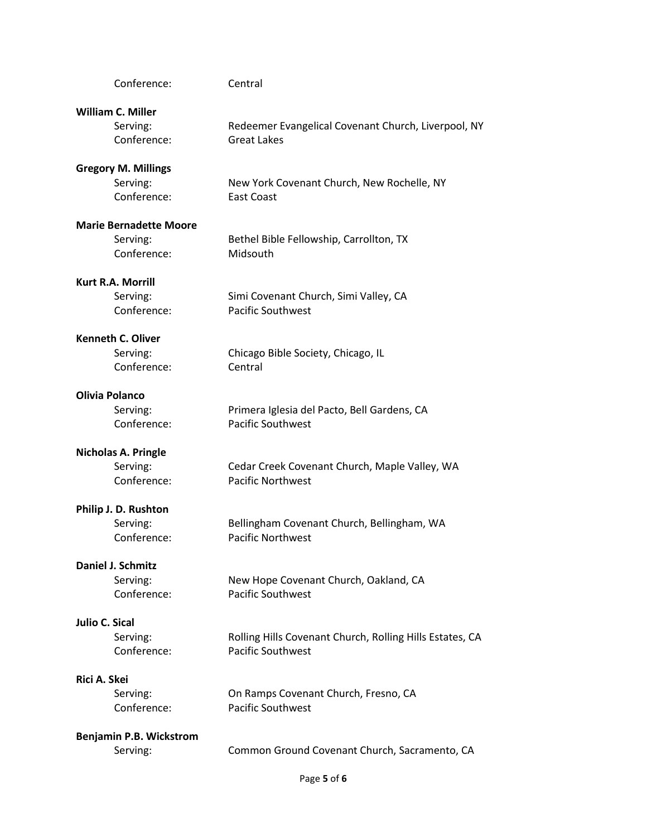| Conference:                   | Central                                                  |
|-------------------------------|----------------------------------------------------------|
| <b>William C. Miller</b>      |                                                          |
| Serving:                      | Redeemer Evangelical Covenant Church, Liverpool, NY      |
| Conference:                   | <b>Great Lakes</b>                                       |
| <b>Gregory M. Millings</b>    |                                                          |
| Serving:                      | New York Covenant Church, New Rochelle, NY               |
| Conference:                   | <b>East Coast</b>                                        |
| <b>Marie Bernadette Moore</b> |                                                          |
| Serving:                      | Bethel Bible Fellowship, Carrollton, TX                  |
| Conference:                   | Midsouth                                                 |
| <b>Kurt R.A. Morrill</b>      |                                                          |
| Serving:                      | Simi Covenant Church, Simi Valley, CA                    |
| Conference:                   | <b>Pacific Southwest</b>                                 |
| <b>Kenneth C. Oliver</b>      |                                                          |
| Serving:                      | Chicago Bible Society, Chicago, IL                       |
| Conference:                   | Central                                                  |
| Olivia Polanco                |                                                          |
| Serving:                      | Primera Iglesia del Pacto, Bell Gardens, CA              |
| Conference:                   | <b>Pacific Southwest</b>                                 |
| Nicholas A. Pringle           |                                                          |
| Serving:                      | Cedar Creek Covenant Church, Maple Valley, WA            |
| Conference:                   | <b>Pacific Northwest</b>                                 |
| Philip J. D. Rushton          |                                                          |
| Serving:                      | Bellingham Covenant Church, Bellingham, WA               |
| Conference:                   | <b>Pacific Northwest</b>                                 |
| Daniel J. Schmitz             |                                                          |
| Serving:                      | New Hope Covenant Church, Oakland, CA                    |
| Conference:                   | <b>Pacific Southwest</b>                                 |
| <b>Julio C. Sical</b>         |                                                          |
| Serving:                      | Rolling Hills Covenant Church, Rolling Hills Estates, CA |
| Conference:                   | <b>Pacific Southwest</b>                                 |
| Rici A. Skei                  |                                                          |
| Serving:                      | On Ramps Covenant Church, Fresno, CA                     |
| Conference:                   | <b>Pacific Southwest</b>                                 |
| Benjamin P.B. Wickstrom       |                                                          |
| Serving:                      | Common Ground Covenant Church, Sacramento, CA            |
|                               |                                                          |